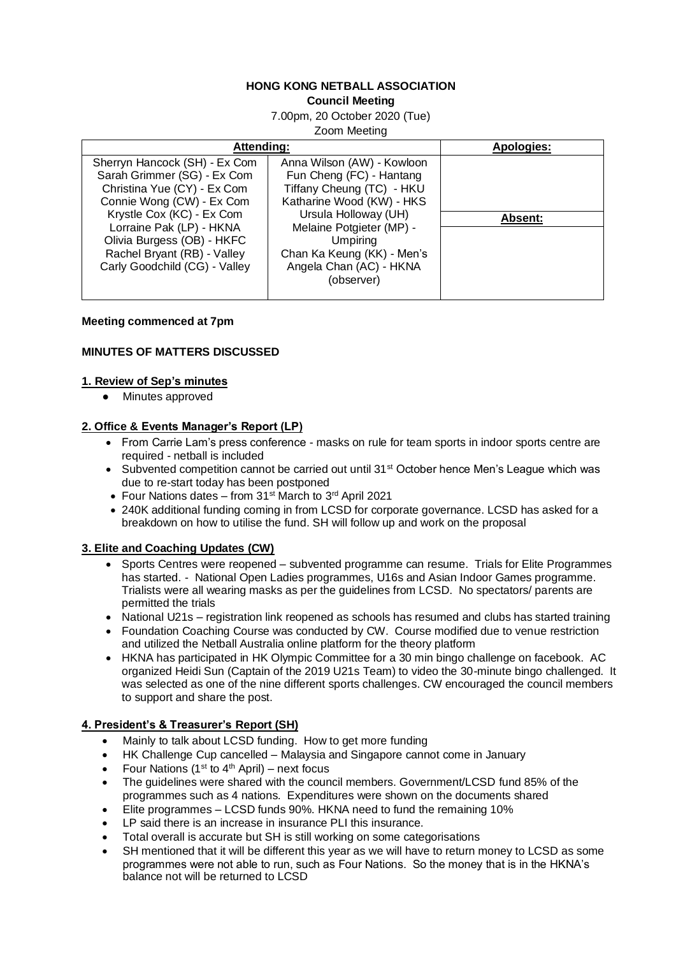### **HONG KONG NETBALL ASSOCIATION Council Meeting**

7.00pm, 20 October 2020 (Tue)

Zoom Meeting

| Attending:                                                                                                                                                                                                                                                                      |                                                                                                                                                                                                                                                                | Apologies:     |
|---------------------------------------------------------------------------------------------------------------------------------------------------------------------------------------------------------------------------------------------------------------------------------|----------------------------------------------------------------------------------------------------------------------------------------------------------------------------------------------------------------------------------------------------------------|----------------|
| Sherryn Hancock (SH) - Ex Com<br>Sarah Grimmer (SG) - Ex Com<br>Christina Yue (CY) - Ex Com<br>Connie Wong (CW) - Ex Com<br>Krystle Cox (KC) - Ex Com<br>Lorraine Pak (LP) - HKNA<br>Olivia Burgess (OB) - HKFC<br>Rachel Bryant (RB) - Valley<br>Carly Goodchild (CG) - Valley | Anna Wilson (AW) - Kowloon<br>Fun Cheng (FC) - Hantang<br>Tiffany Cheung (TC) - HKU<br>Katharine Wood (KW) - HKS<br>Ursula Holloway (UH)<br>Melaine Potgieter (MP) -<br><b>Umpiring</b><br>Chan Ka Keung (KK) - Men's<br>Angela Chan (AC) - HKNA<br>(observer) | <b>Absent:</b> |

#### **Meeting commenced at 7pm**

## **MINUTES OF MATTERS DISCUSSED**

### **1. Review of Sep's minutes**

● Minutes approved

### **2. Office & Events Manager's Report (LP)**

- From Carrie Lam's press conference masks on rule for team sports in indoor sports centre are required - netball is included
- Subvented competition cannot be carried out until  $31<sup>st</sup>$  October hence Men's League which was due to re-start today has been postponed
- Four Nations dates from 31<sup>st</sup> March to 3<sup>rd</sup> April 2021
- 240K additional funding coming in from LCSD for corporate governance. LCSD has asked for a breakdown on how to utilise the fund. SH will follow up and work on the proposal

### **3. Elite and Coaching Updates (CW)**

- Sports Centres were reopened subvented programme can resume. Trials for Elite Programmes has started. - National Open Ladies programmes, U16s and Asian Indoor Games programme. Trialists were all wearing masks as per the guidelines from LCSD. No spectators/ parents are permitted the trials
- National U21s registration link reopened as schools has resumed and clubs has started training
- Foundation Coaching Course was conducted by CW. Course modified due to venue restriction and utilized the Netball Australia online platform for the theory platform
- HKNA has participated in HK Olympic Committee for a 30 min bingo challenge on facebook. AC organized Heidi Sun (Captain of the 2019 U21s Team) to video the 30-minute bingo challenged. It was selected as one of the nine different sports challenges. CW encouraged the council members to support and share the post.

# **4. President's & Treasurer's Report (SH)**

- Mainly to talk about LCSD funding. How to get more funding
- HK Challenge Cup cancelled Malaysia and Singapore cannot come in January
- Four Nations (1<sup>st</sup> to 4<sup>th</sup> April) next focus
- The guidelines were shared with the council members. Government/LCSD fund 85% of the programmes such as 4 nations. Expenditures were shown on the documents shared
- Elite programmes LCSD funds 90%. HKNA need to fund the remaining 10%
- LP said there is an increase in insurance PLI this insurance.
- Total overall is accurate but SH is still working on some categorisations
- SH mentioned that it will be different this year as we will have to return money to LCSD as some programmes were not able to run, such as Four Nations. So the money that is in the HKNA's balance not will be returned to LCSD